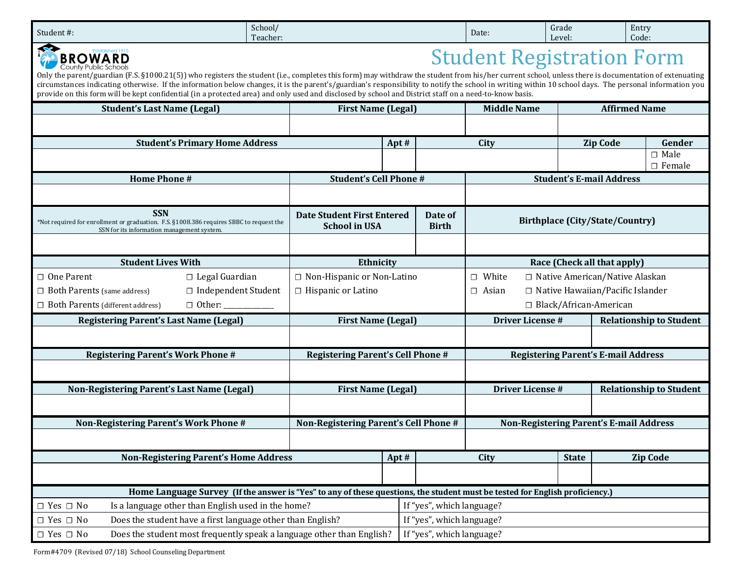| Student#:                                                                                                                                                                                                                                                                                                                                                                                                                                                                                                                                                                                                                                               | School/<br>Teacher:          |                                                           |                                                                         |                                                     | Date:                                                   | Grade<br>Level:             | Entry<br>Code:                             |                                 |  |
|---------------------------------------------------------------------------------------------------------------------------------------------------------------------------------------------------------------------------------------------------------------------------------------------------------------------------------------------------------------------------------------------------------------------------------------------------------------------------------------------------------------------------------------------------------------------------------------------------------------------------------------------------------|------------------------------|-----------------------------------------------------------|-------------------------------------------------------------------------|-----------------------------------------------------|---------------------------------------------------------|-----------------------------|--------------------------------------------|---------------------------------|--|
| <b>Student Registration Form</b><br><b>BROWARD</b><br>County Public Schools<br>Only the parent/guardian (F.S. §1000.21(5)) who registers the student (i.e., completes this form) may withdraw the student from his/her current school, unless there is documentation of extenuating<br>circumstances indicating otherwise. If the information below changes, it is the parent's/guardian's responsibility to notify the school in writing within 10 school days. The personal information you<br>provide on this form will be kept confidential (in a protected area) and only used and disclosed by school and District staff on a need-to-know basis. |                              |                                                           |                                                                         |                                                     |                                                         |                             |                                            |                                 |  |
| <b>Student's Last Name (Legal)</b>                                                                                                                                                                                                                                                                                                                                                                                                                                                                                                                                                                                                                      |                              |                                                           | <b>Affirmed Name</b><br><b>Middle Name</b><br><b>First Name (Legal)</b> |                                                     |                                                         |                             |                                            |                                 |  |
|                                                                                                                                                                                                                                                                                                                                                                                                                                                                                                                                                                                                                                                         |                              |                                                           |                                                                         |                                                     |                                                         |                             |                                            |                                 |  |
| <b>Student's Primary Home Address</b>                                                                                                                                                                                                                                                                                                                                                                                                                                                                                                                                                                                                                   |                              | Apt#                                                      |                                                                         | City                                                |                                                         | <b>Zip Code</b>             | Gender                                     |                                 |  |
|                                                                                                                                                                                                                                                                                                                                                                                                                                                                                                                                                                                                                                                         |                              |                                                           |                                                                         |                                                     |                                                         |                             |                                            | $\Box$ Male<br>$\square$ Female |  |
| <b>Home Phone #</b>                                                                                                                                                                                                                                                                                                                                                                                                                                                                                                                                                                                                                                     |                              | <b>Student's Cell Phone #</b>                             |                                                                         |                                                     |                                                         |                             | <b>Student's E-mail Address</b>            |                                 |  |
|                                                                                                                                                                                                                                                                                                                                                                                                                                                                                                                                                                                                                                                         |                              |                                                           |                                                                         |                                                     |                                                         |                             |                                            |                                 |  |
| <b>SSN</b><br>*Not required for enrollment or graduation. F.S. §1008.386 requires SBBC to request the<br>SSN for its information management system.                                                                                                                                                                                                                                                                                                                                                                                                                                                                                                     |                              | <b>Date Student First Entered</b><br><b>School in USA</b> |                                                                         | Date of<br><b>Birth</b>                             | <b>Birthplace (City/State/Country)</b>                  |                             |                                            |                                 |  |
|                                                                                                                                                                                                                                                                                                                                                                                                                                                                                                                                                                                                                                                         |                              |                                                           |                                                                         |                                                     |                                                         |                             |                                            |                                 |  |
| <b>Student Lives With</b>                                                                                                                                                                                                                                                                                                                                                                                                                                                                                                                                                                                                                               |                              |                                                           | Ethnicity                                                               |                                                     |                                                         | Race (Check all that apply) |                                            |                                 |  |
| $\Box$ Legal Guardian<br>$\Box$ One Parent                                                                                                                                                                                                                                                                                                                                                                                                                                                                                                                                                                                                              | □ Non-Hispanic or Non-Latino |                                                           |                                                                         | White<br>□ Native American/Native Alaskan<br>$\Box$ |                                                         |                             |                                            |                                 |  |
| □ Independent Student<br>$\Box$ Both Parents (same address)                                                                                                                                                                                                                                                                                                                                                                                                                                                                                                                                                                                             |                              | □ Hispanic or Latino                                      |                                                                         |                                                     | $\Box$ Native Hawaiian/Pacific Islander<br>$\Box$ Asian |                             |                                            |                                 |  |
| □ Both Parents (different address)                                                                                                                                                                                                                                                                                                                                                                                                                                                                                                                                                                                                                      |                              |                                                           |                                                                         |                                                     | □ Black/African-American                                |                             |                                            |                                 |  |
| <b>Registering Parent's Last Name (Legal)</b>                                                                                                                                                                                                                                                                                                                                                                                                                                                                                                                                                                                                           |                              | <b>First Name (Legal)</b>                                 |                                                                         |                                                     | <b>Driver License #</b>                                 |                             |                                            | <b>Relationship to Student</b>  |  |
|                                                                                                                                                                                                                                                                                                                                                                                                                                                                                                                                                                                                                                                         |                              |                                                           |                                                                         |                                                     |                                                         |                             |                                            |                                 |  |
| <b>Registering Parent's Work Phone #</b>                                                                                                                                                                                                                                                                                                                                                                                                                                                                                                                                                                                                                |                              | <b>Registering Parent's Cell Phone #</b>                  |                                                                         |                                                     |                                                         |                             | <b>Registering Parent's E-mail Address</b> |                                 |  |
|                                                                                                                                                                                                                                                                                                                                                                                                                                                                                                                                                                                                                                                         |                              |                                                           |                                                                         |                                                     |                                                         |                             |                                            |                                 |  |
| Non-Registering Parent's Last Name (Legal)                                                                                                                                                                                                                                                                                                                                                                                                                                                                                                                                                                                                              |                              | <b>First Name (Legal)</b>                                 |                                                                         |                                                     | <b>Driver License #</b>                                 |                             |                                            | <b>Relationship to Student</b>  |  |
|                                                                                                                                                                                                                                                                                                                                                                                                                                                                                                                                                                                                                                                         |                              |                                                           |                                                                         |                                                     |                                                         |                             |                                            |                                 |  |
| Non-Registering Parent's Work Phone #                                                                                                                                                                                                                                                                                                                                                                                                                                                                                                                                                                                                                   |                              | Non-Registering Parent's Cell Phone #                     |                                                                         | <b>Non-Registering Parent's E-mail Address</b>      |                                                         |                             |                                            |                                 |  |
|                                                                                                                                                                                                                                                                                                                                                                                                                                                                                                                                                                                                                                                         |                              |                                                           |                                                                         |                                                     |                                                         |                             |                                            |                                 |  |
| <b>Non-Registering Parent's Home Address</b>                                                                                                                                                                                                                                                                                                                                                                                                                                                                                                                                                                                                            |                              |                                                           | Apt#                                                                    |                                                     | City                                                    | <b>State</b>                |                                            | <b>Zip Code</b>                 |  |
|                                                                                                                                                                                                                                                                                                                                                                                                                                                                                                                                                                                                                                                         |                              |                                                           |                                                                         |                                                     |                                                         |                             |                                            |                                 |  |
| Home Language Survey (If the answer is "Yes" to any of these questions, the student must be tested for English proficiency.]                                                                                                                                                                                                                                                                                                                                                                                                                                                                                                                            |                              |                                                           |                                                                         |                                                     |                                                         |                             |                                            |                                 |  |
| $\Box$ Yes $\Box$ No<br>Is a language other than English used in the home?                                                                                                                                                                                                                                                                                                                                                                                                                                                                                                                                                                              |                              |                                                           |                                                                         | If "yes", which language?                           |                                                         |                             |                                            |                                 |  |
| Does the student have a first language other than English?<br>$\Box$ Yes $\Box$ No                                                                                                                                                                                                                                                                                                                                                                                                                                                                                                                                                                      |                              |                                                           |                                                                         | If "yes", which language?                           |                                                         |                             |                                            |                                 |  |
| Does the student most frequently speak a language other than English?<br>$\Box$ Yes $\Box$ No                                                                                                                                                                                                                                                                                                                                                                                                                                                                                                                                                           |                              |                                                           |                                                                         | If "yes", which language?                           |                                                         |                             |                                            |                                 |  |

Form#4709 (Revised 07/18) School Counseling Department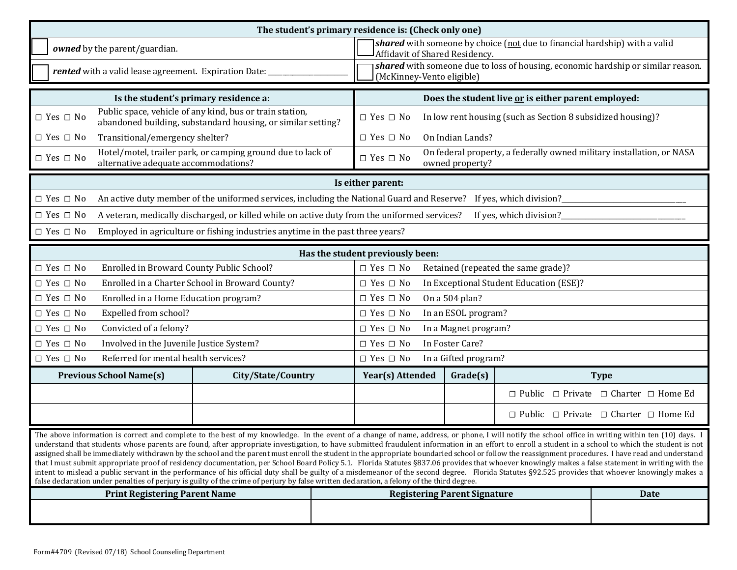| The student's primary residence is: (Check only one)                                                                                                                                                                                                                                                                                                                                                                                                                                                                                                                                                                                                                                                                                                                                                                                                                                                                                                                                                                                                                                                                                                                        |                                                                                                                          |                                     |                                                                                                               |                                     |                                                            |  |
|-----------------------------------------------------------------------------------------------------------------------------------------------------------------------------------------------------------------------------------------------------------------------------------------------------------------------------------------------------------------------------------------------------------------------------------------------------------------------------------------------------------------------------------------------------------------------------------------------------------------------------------------------------------------------------------------------------------------------------------------------------------------------------------------------------------------------------------------------------------------------------------------------------------------------------------------------------------------------------------------------------------------------------------------------------------------------------------------------------------------------------------------------------------------------------|--------------------------------------------------------------------------------------------------------------------------|-------------------------------------|---------------------------------------------------------------------------------------------------------------|-------------------------------------|------------------------------------------------------------|--|
| owned by the parent/guardian.                                                                                                                                                                                                                                                                                                                                                                                                                                                                                                                                                                                                                                                                                                                                                                                                                                                                                                                                                                                                                                                                                                                                               |                                                                                                                          |                                     | shared with someone by choice (not due to financial hardship) with a valid<br>Affidavit of Shared Residency.  |                                     |                                                            |  |
| rented with a valid lease agreement. Expiration Date:                                                                                                                                                                                                                                                                                                                                                                                                                                                                                                                                                                                                                                                                                                                                                                                                                                                                                                                                                                                                                                                                                                                       |                                                                                                                          |                                     | shared with someone due to loss of housing, economic hardship or similar reason.<br>(McKinney-Vento eligible) |                                     |                                                            |  |
|                                                                                                                                                                                                                                                                                                                                                                                                                                                                                                                                                                                                                                                                                                                                                                                                                                                                                                                                                                                                                                                                                                                                                                             | Is the student's primary residence a:                                                                                    |                                     | Does the student live or is either parent employed:                                                           |                                     |                                                            |  |
| $\Box$ Yes $\Box$ No                                                                                                                                                                                                                                                                                                                                                                                                                                                                                                                                                                                                                                                                                                                                                                                                                                                                                                                                                                                                                                                                                                                                                        | Public space, vehicle of any kind, bus or train station,<br>abandoned building, substandard housing, or similar setting? | $\Box$ Yes $\Box$ No                | In low rent housing (such as Section 8 subsidized housing)?                                                   |                                     |                                                            |  |
| Transitional/emergency shelter?<br>$\Box$ Yes $\Box$ No                                                                                                                                                                                                                                                                                                                                                                                                                                                                                                                                                                                                                                                                                                                                                                                                                                                                                                                                                                                                                                                                                                                     |                                                                                                                          | $\Box$ Yes $\Box$ No                | On Indian Lands?                                                                                              |                                     |                                                            |  |
| $\Box$ Yes $\Box$ No<br>alternative adequate accommodations?                                                                                                                                                                                                                                                                                                                                                                                                                                                                                                                                                                                                                                                                                                                                                                                                                                                                                                                                                                                                                                                                                                                | Hotel/motel, trailer park, or camping ground due to lack of                                                              | $\Box$ Yes $\Box$ No                | On federal property, a federally owned military installation, or NASA<br>owned property?                      |                                     |                                                            |  |
| Is either parent:                                                                                                                                                                                                                                                                                                                                                                                                                                                                                                                                                                                                                                                                                                                                                                                                                                                                                                                                                                                                                                                                                                                                                           |                                                                                                                          |                                     |                                                                                                               |                                     |                                                            |  |
| $\Box$ Yes $\Box$ No<br>An active duty member of the uniformed services, including the National Guard and Reserve?<br>If yes, which division?                                                                                                                                                                                                                                                                                                                                                                                                                                                                                                                                                                                                                                                                                                                                                                                                                                                                                                                                                                                                                               |                                                                                                                          |                                     |                                                                                                               |                                     |                                                            |  |
| $\Box$ Yes $\Box$ No                                                                                                                                                                                                                                                                                                                                                                                                                                                                                                                                                                                                                                                                                                                                                                                                                                                                                                                                                                                                                                                                                                                                                        | A veteran, medically discharged, or killed while on active duty from the uniformed services?                             |                                     |                                                                                                               | If yes, which division?             |                                                            |  |
| $\Box$ Yes $\Box$ No                                                                                                                                                                                                                                                                                                                                                                                                                                                                                                                                                                                                                                                                                                                                                                                                                                                                                                                                                                                                                                                                                                                                                        | Employed in agriculture or fishing industries anytime in the past three years?                                           |                                     |                                                                                                               |                                     |                                                            |  |
|                                                                                                                                                                                                                                                                                                                                                                                                                                                                                                                                                                                                                                                                                                                                                                                                                                                                                                                                                                                                                                                                                                                                                                             |                                                                                                                          | Has the student previously been:    |                                                                                                               |                                     |                                                            |  |
| $\Box$ Yes $\Box$ No<br>Enrolled in Broward County Public School?                                                                                                                                                                                                                                                                                                                                                                                                                                                                                                                                                                                                                                                                                                                                                                                                                                                                                                                                                                                                                                                                                                           |                                                                                                                          | $\Box$ Yes $\Box$ No                |                                                                                                               | Retained (repeated the same grade)? |                                                            |  |
| Enrolled in a Charter School in Broward County?<br>In Exceptional Student Education (ESE)?<br>$\Box$ Yes $\Box$ No<br>$\Box$ Yes $\Box$ No                                                                                                                                                                                                                                                                                                                                                                                                                                                                                                                                                                                                                                                                                                                                                                                                                                                                                                                                                                                                                                  |                                                                                                                          |                                     |                                                                                                               |                                     |                                                            |  |
| $\Box$ Yes $\Box$ No<br>Enrolled in a Home Education program?<br>On a 504 plan?<br>$\Box$ Yes $\Box$ No                                                                                                                                                                                                                                                                                                                                                                                                                                                                                                                                                                                                                                                                                                                                                                                                                                                                                                                                                                                                                                                                     |                                                                                                                          |                                     |                                                                                                               |                                     |                                                            |  |
| Expelled from school?<br>$\Box$ Yes $\Box$ No                                                                                                                                                                                                                                                                                                                                                                                                                                                                                                                                                                                                                                                                                                                                                                                                                                                                                                                                                                                                                                                                                                                               |                                                                                                                          | $\Box$ Yes $\Box$ No                | In an ESOL program?                                                                                           |                                     |                                                            |  |
| $\hfill\Box$<br>Yes $\hfill\Box$<br>No<br>Convicted of a felony?                                                                                                                                                                                                                                                                                                                                                                                                                                                                                                                                                                                                                                                                                                                                                                                                                                                                                                                                                                                                                                                                                                            |                                                                                                                          | $\Box$ Yes $\Box$ No                | In a Magnet program?                                                                                          |                                     |                                                            |  |
| Involved in the Juvenile Justice System?<br>$\Box$ Yes $\Box$ No                                                                                                                                                                                                                                                                                                                                                                                                                                                                                                                                                                                                                                                                                                                                                                                                                                                                                                                                                                                                                                                                                                            | $\Box$ Yes $\Box$ No                                                                                                     | In Foster Care?                     |                                                                                                               |                                     |                                                            |  |
| Referred for mental health services?<br>$\Box$ Yes $\Box$ No                                                                                                                                                                                                                                                                                                                                                                                                                                                                                                                                                                                                                                                                                                                                                                                                                                                                                                                                                                                                                                                                                                                |                                                                                                                          | $\Box$ Yes $\Box$ No                | In a Gifted program?                                                                                          |                                     |                                                            |  |
| <b>Previous School Name(s)</b>                                                                                                                                                                                                                                                                                                                                                                                                                                                                                                                                                                                                                                                                                                                                                                                                                                                                                                                                                                                                                                                                                                                                              | City/State/Country                                                                                                       | Year(s) Attended                    | Grade(s)                                                                                                      |                                     | <b>Type</b>                                                |  |
|                                                                                                                                                                                                                                                                                                                                                                                                                                                                                                                                                                                                                                                                                                                                                                                                                                                                                                                                                                                                                                                                                                                                                                             |                                                                                                                          |                                     |                                                                                                               |                                     | $\Box$ Public $\Box$ Private $\Box$ Charter $\Box$ Home Ed |  |
|                                                                                                                                                                                                                                                                                                                                                                                                                                                                                                                                                                                                                                                                                                                                                                                                                                                                                                                                                                                                                                                                                                                                                                             |                                                                                                                          |                                     |                                                                                                               |                                     | $\Box$ Public $\Box$ Private $\Box$ Charter $\Box$ Home Ed |  |
| The above information is correct and complete to the best of my knowledge. In the event of a change of name, address, or phone, I will notify the school office in writing within ten (10) days. I<br>understand that students whose parents are found, after appropriate investigation, to have submitted fraudulent information in an effort to enroll a student in a school to which the student is not<br>assigned shall be immediately withdrawn by the school and the parent must enroll the student in the appropriate boundaried school or follow the reassignment procedures. I have read and understand<br>that I must submit appropriate proof of residency documentation, per School Board Policy 5.1. Florida Statutes §837.06 provides that whoever knowingly makes a false statement in writing with the<br>intent to mislead a public servant in the performance of his official duty shall be guilty of a misdemeanor of the second degree. Florida Statutes §92.525 provides that whoever knowingly makes a<br>false declaration under penalties of perjury is guilty of the crime of perjury by false written declaration, a felony of the third degree. |                                                                                                                          |                                     |                                                                                                               |                                     |                                                            |  |
| <b>Print Registering Parent Name</b>                                                                                                                                                                                                                                                                                                                                                                                                                                                                                                                                                                                                                                                                                                                                                                                                                                                                                                                                                                                                                                                                                                                                        |                                                                                                                          | <b>Registering Parent Signature</b> |                                                                                                               |                                     |                                                            |  |
|                                                                                                                                                                                                                                                                                                                                                                                                                                                                                                                                                                                                                                                                                                                                                                                                                                                                                                                                                                                                                                                                                                                                                                             |                                                                                                                          |                                     |                                                                                                               |                                     |                                                            |  |